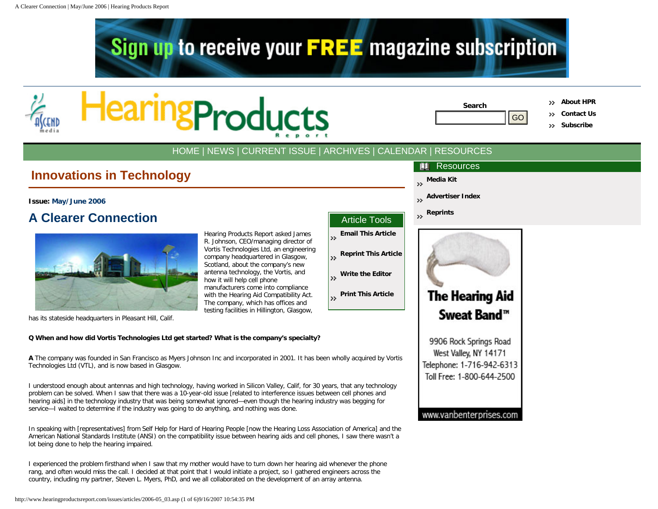



| Search |
|--------|
|        |
|        |

**Resources** 

**[Advertiser Index](http://www.hearingproductsreport.com/advertiser_index.asp)**

**[Media Kit](http://www.hearingproductsreport.com/media_kit.asp)**

**Search [About HPR](http://www.hearingproductsreport.com/about.asp)**

**[Contact Us](http://www.hearingproductsreport.com/contact.asp)**

**[Subscribe](http://www.hearingproductsreport.com/subscribe.asp)**

# [HOME](http://www.hearingproductsreport.com/) | [NEWS](http://www.hearingproductsreport.com/news/) | [CURRENT ISSUE](http://www.hearingproductsreport.com/issues/) | [ARCHIVES](http://www.hearingproductsreport.com/archives.asp) | [CALENDAR](http://www.hearingproductsreport.com/calendar.asp) | [RESOURCES](http://www.hearingproductsreport.com/resources.asp)

# **Innovations in Technology**

# **Issue: [May/June 2006](http://www.hearingproductsreport.com/issues/2006-05.asp)**

# **A Clearer Connection**



has its stateside headquarters in Pleasant Hill, Calif.

# **Q When and how did Vortis Technologies Ltd get started? What is the company's specialty?**

**A** The company was founded in San Francisco as Myers Johnson Inc and incorporated in 2001. It has been wholly acquired by Vortis Technologies Ltd (VTL), and is now based in Glasgow.

I understood enough about antennas and high technology, having worked in Silicon Valley, Calif, for 30 years, that any technology problem can be solved. When I saw that there was a 10-year-old issue [related to interference issues between cell phones and hearing aids] in the technology industry that was being somewhat ignored—even though the hearing industry was begging for service—I waited to determine if the industry was going to do anything, and nothing was done.

In speaking with [representatives] from Self Help for Hard of Hearing People [now the Hearing Loss Association of America] and the American National Standards Institute (ANSI) on the compatibility issue between hearing aids and cell phones, I saw there wasn't a lot being done to help the hearing impaired.

I experienced the problem firsthand when I saw that my mother would have to turn down her hearing aid whenever the phone rang, and often would miss the call. I decided at that point that I would initiate a project, so I gathered engineers across the country, including my partner, Steven L. Myers, PhD, and we all collaborated on the development of an array antenna.

|                                                                                                                     |                        | Artic   |
|---------------------------------------------------------------------------------------------------------------------|------------------------|---------|
| Hearing Products Report asked James<br>R. Johnson, CEO/managing director of                                         | Email<br>$\rightarrow$ |         |
| Vortis Technologies Ltd, an engineering<br>company headquartered in Glasgow,<br>Scotland, about the company's new   | $\rightarrow$          | Reprir  |
| antenna technology, the Vortis, and<br>how it will help cell phone                                                  | $\rightarrow$          | Write   |
| manufacturers come into compliance<br>with the Hearing Aid Compatibility Act.<br>The company, which has offices and | $\rightarrow$          | Print 1 |
| testing facilities in Hillington, Glasgow,                                                                          |                        |         |

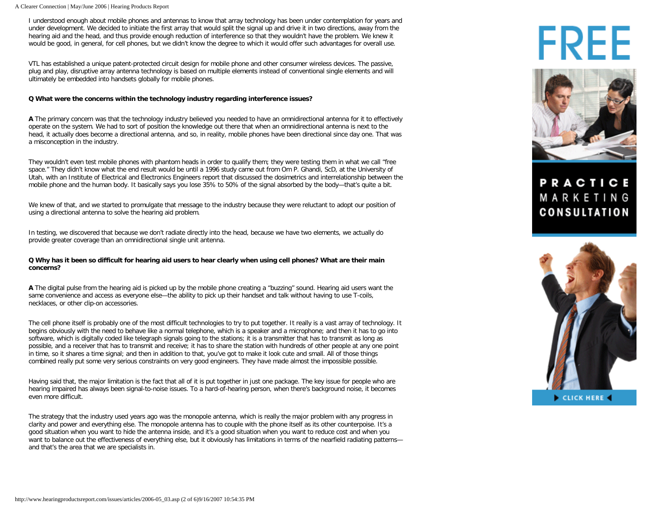### A Clearer Connection | May/June 2006 | Hearing Products Report

I understood enough about mobile phones and antennas to know that array technology has been under contemplation for years and under development. We decided to initiate the first array that would split the signal up and drive it in two directions, away from the hearing aid and the head, and thus provide enough reduction of interference so that they wouldn't have the problem. We knew it would be good, in general, for cell phones, but we didn't know the degree to which it would offer such advantages for overall use.

VTL has established a unique patent-protected circuit design for mobile phone and other consumer wireless devices. The passive, plug and play, disruptive array antenna technology is based on multiple elements instead of conventional single elements and will ultimately be embedded into handsets globally for mobile phones.

# **Q What were the concerns within the technology industry regarding interference issues?**

**A** The primary concern was that the technology industry believed you needed to have an omnidirectional antenna for it to effectively operate on the system. We had to sort of position the knowledge out there that when an omnidirectional antenna is next to the head, it actually does become a directional antenna, and so, in reality, mobile phones have been directional since day one. That was a misconception in the industry.

They wouldn't even test mobile phones with phantom heads in order to qualify them; they were testing them in what we call "free space." They didn't know what the end result would be until a 1996 study came out from Om P. Ghandi, ScD, at the University of Utah, with an Institute of Electrical and Electronics Engineers report that discussed the dosimetrics and interrelationship between the mobile phone and the human body. It basically says you lose 35% to 50% of the signal absorbed by the body—that's quite a bit.

We knew of that, and we started to promulgate that message to the industry because they were reluctant to adopt our position of using a directional antenna to solve the hearing aid problem.

In testing, we discovered that because we don't radiate directly into the head, because we have two elements, we actually do provide greater coverage than an omnidirectional single unit antenna.

# **Q Why has it been so difficult for hearing aid users to hear clearly when using cell phones? What are their main concerns?**

**A** The digital pulse from the hearing aid is picked up by the mobile phone creating a "buzzing" sound. Hearing aid users want the same convenience and access as everyone else—the ability to pick up their handset and talk without having to use T-coils, necklaces, or other clip-on accessories.

The cell phone itself is probably one of the most difficult technologies to try to put together. It really is a vast array of technology. It begins obviously with the need to behave like a normal telephone, which is a speaker and a microphone; and then it has to go into software, which is digitally coded like telegraph signals going to the stations; it is a transmitter that has to transmit as long as possible, and a receiver that has to transmit and receive; it has to share the station with hundreds of other people at any one point in time, so it shares a time signal; and then in addition to that, you've got to make it look cute and small. All of those things combined really put some very serious constraints on very good engineers. They have made almost the impossible possible.

Having said that, the major limitation is the fact that all of it is put together in just one package. The key issue for people who are hearing impaired has always been signal-to-noise issues. To a hard-of-hearing person, when there's background noise, it becomes even more difficult.

The strategy that the industry used years ago was the monopole antenna, which is really the major problem with any progress in clarity and power and everything else. The monopole antenna has to couple with the phone itself as its other counterpoise. It's a good situation when you want to hide the antenna inside, and it's a good situation when you want to reduce cost and when you want to balance out the effectiveness of everything else, but it obviously has limitations in terms of the nearfield radiating patterns and that's the area that we are specialists in.

# FREE



# **PRACTICE** MARKETING **CONSULTATION**

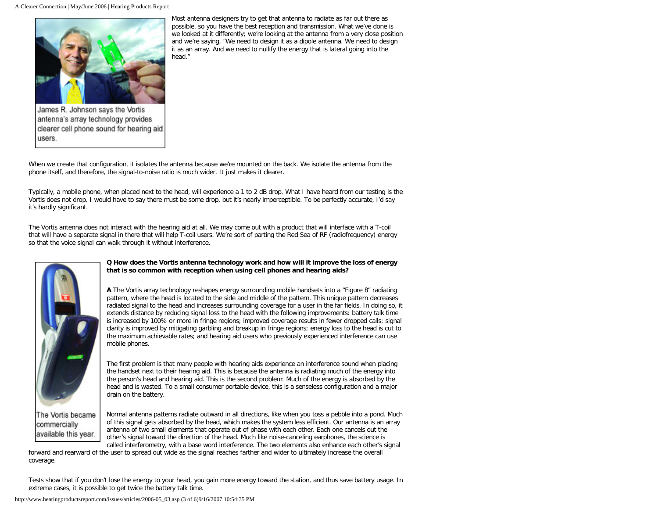

James R. Johnson says the Vortis antenna's array technology provides clearer cell phone sound for hearing aid users.

Most antenna designers try to get that antenna to radiate as far out there as possible, so you have the best reception and transmission. What we've done is we looked at it differently; we're looking at the antenna from a very close position and we're saying, "We need to design it as a dipole antenna. We need to design it as an array. And we need to nullify the energy that is lateral going into the head."

When we create that configuration, it isolates the antenna because we're mounted on the back. We isolate the antenna from the phone itself, and therefore, the signal-to-noise ratio is much wider. It just makes it clearer.

Typically, a mobile phone, when placed next to the head, will experience a 1 to 2 dB drop. What I have heard from our testing is the Vortis does not drop. I would have to say there must be some drop, but it's nearly imperceptible. To be perfectly accurate, I'd say it's hardly significant.

The Vortis antenna does not interact with the hearing aid at all. We may come out with a product that will interface with a T-coil that will have a separate signal in there that will help T-coil users. We're sort of parting the Red Sea of RF (radiofrequency) energy so that the voice signal can walk through it without interference.



**Q How does the Vortis antenna technology work and how will it improve the loss of energy that is so common with reception when using cell phones and hearing aids?** 

**A** The Vortis array technology reshapes energy surrounding mobile handsets into a "Figure 8" radiating pattern, where the head is located to the side and middle of the pattern. This unique pattern decreases radiated signal to the head and increases surrounding coverage for a user in the far fields. In doing so, it extends distance by reducing signal loss to the head with the following improvements: battery talk time is increased by 100% or more in fringe regions; improved coverage results in fewer dropped calls; signal clarity is improved by mitigating garbling and breakup in fringe regions; energy loss to the head is cut to the maximum achievable rates; and hearing aid users who previously experienced interference can use mobile phones.

The first problem is that many people with hearing aids experience an interference sound when placing the handset next to their hearing aid. This is because the antenna is radiating much of the energy into the person's head and hearing aid. This is the second problem: Much of the energy is absorbed by the head and is wasted. To a small consumer portable device, this is a senseless configuration and a major drain on the battery.

The Vortis became commercially available this year.

Normal antenna patterns radiate outward in all directions, like when you toss a pebble into a pond. Much of this signal gets absorbed by the head, which makes the system less efficient. Our antenna is an array antenna of two small elements that operate out of phase with each other. Each one cancels out the other's signal toward the direction of the head. Much like noise-canceling earphones, the science is called interferometry, with a base word interference. The two elements also enhance each other's signal

forward and rearward of the user to spread out wide as the signal reaches farther and wider to ultimately increase the overall coverage.

Tests show that if you don't lose the energy to your head, you gain more energy toward the station, and thus save battery usage. In extreme cases, it is possible to get twice the battery talk time.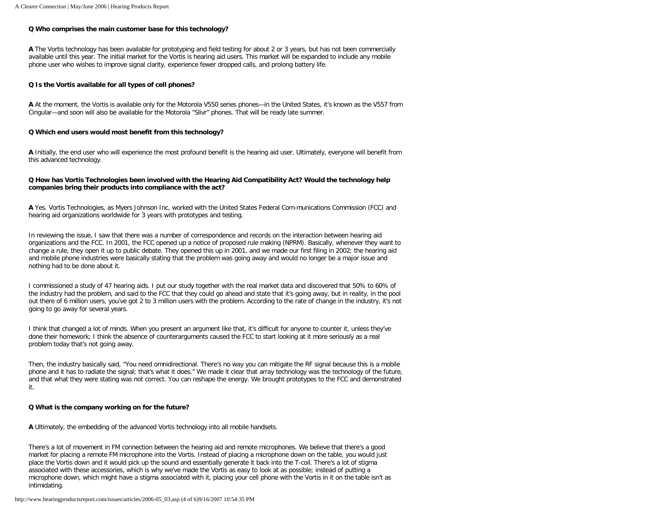# **Q Who comprises the main customer base for this technology?**

**A** The Vortis technology has been available for prototyping and field testing for about 2 or 3 years, but has not been commercially available until this year. The initial market for the Vortis is hearing aid users. This market will be expanded to include any mobile phone user who wishes to improve signal clarity, experience fewer dropped calls, and prolong battery life.

### **Q Is the Vortis available for all types of cell phones?**

**A** At the moment, the Vortis is available only for the Motorola V550 series phones—in the United States, it's known as the V557 from Cingular—and soon will also be available for the Motorola "Slivr" phones. That will be ready late summer.

## **Q Which end users would most benefit from this technology?**

**A** Initially, the end user who will experience the most profound benefit is the hearing aid user. Ultimately, everyone will benefit from this advanced technology.

# **Q How has Vortis Technologies been involved with the Hearing Aid Compatibility Act? Would the technology help companies bring their products into compliance with the act?**

**A** Yes. Vortis Technologies, as Myers Johnson Inc, worked with the United States Federal Com-munications Commission (FCC) and hearing aid organizations worldwide for 3 years with prototypes and testing.

In reviewing the issue, I saw that there was a number of correspondence and records on the interaction between hearing aid organizations and the FCC. In 2001, the FCC opened up a notice of proposed rule making (NPRM). Basically, whenever they want to change a rule, they open it up to public debate. They opened this up in 2001, and we made our first filing in 2002; the hearing aid and mobile phone industries were basically stating that the problem was going away and would no longer be a major issue and nothing had to be done about it.

I commissioned a study of 47 hearing aids. I put our study together with the real market data and discovered that 50% to 60% of the industry had the problem, and said to the FCC that they could go ahead and state that it's going away, but in reality, in the pool out there of 6 million users, you've got 2 to 3 million users with the problem. According to the rate of change in the industry, it's not going to go away for several years.

I think that changed a lot of minds. When you present an argument like that, it's difficult for anyone to counter it, unless they've done their homework; I think the absence of counterarguments caused the FCC to start looking at it more seriously as a real problem today that's not going away.

Then, the industry basically said, "You need omnidirectional. There's no way you can mitigate the RF signal because this is a mobile phone and it has to radiate the signal; that's what it does." We made it clear that array technology was the technology of the future, and that what they were stating was not correct. You can reshape the energy. We brought prototypes to the FCC and demonstrated it.

### **Q What is the company working on for the future?**

**A** Ultimately, the embedding of the advanced Vortis technology into all mobile handsets.

There's a lot of movement in FM connection between the hearing aid and remote microphones. We believe that there's a good market for placing a remote FM microphone into the Vortis. Instead of placing a microphone down on the table, you would just place the Vortis down and it would pick up the sound and essentially generate it back into the T-coil. There's a lot of stigma associated with these accessories, which is why we've made the Vortis as easy to look at as possible; instead of putting a microphone down, which might have a stigma associated with it, placing your cell phone with the Vortis in it on the table isn't as intimidating.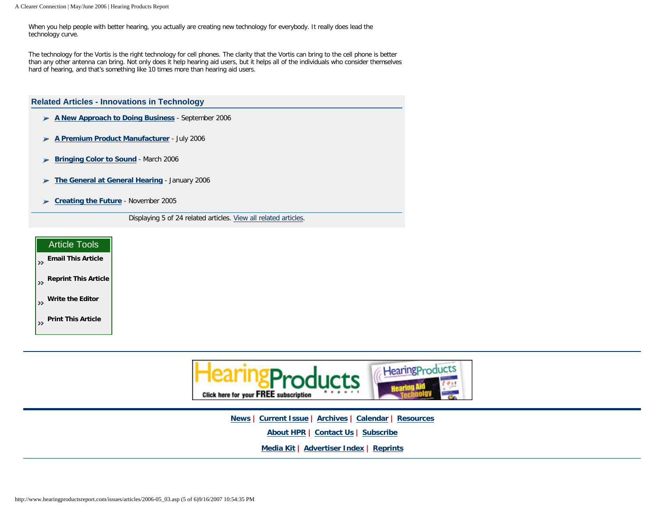When you help people with better hearing, you actually are creating new technology for everybody. It really does lead the technology curve.

The technology for the Vortis is the right technology for cell phones. The clarity that the Vortis can bring to the cell phone is better than any other antenna can bring. Not only does it help hearing aid users, but it helps all of the individuals who consider themselves hard of hearing, and that's something like 10 times more than hearing aid users.

**Related Articles - Innovations in Technology [A New Approach to Doing Business](http://www.hearingproductsreport.com/issues/articles/2006-09_06.asp)** - September 2006 **[A Premium Product Manufacturer](http://www.hearingproductsreport.com/issues/articles/2006-07_04.asp)** - July 2006 w. **[Bringing Color to Sound](http://www.hearingproductsreport.com/issues/articles/2006-03_05.asp)** - March 2006 **[The General at General Hearing](http://www.hearingproductsreport.com/issues/articles/2006-01_05.asp)** - January 2006 **[Creating the Future](http://www.hearingproductsreport.com/issues/articles/2005-11_05.asp)** - November 2005 Displaying 5 of 24 related articles. [View all related articles.](http://www.hearingproductsreport.com/related_articles.asp?frmArticleId=2006%2D05%5F03)





**[News](http://www.hearingproductsreport.com/news/) | [Current Issue](http://www.hearingproductsreport.com/issues/) | [Archives](http://www.hearingproductsreport.com/archives.asp) | [Calendar](http://www.hearingproductsreport.com/calendar.asp) | [Resources](http://www.hearingproductsreport.com/resources.asp)**

**[About HPR](http://www.hearingproductsreport.com/about.asp) | [Contact Us](http://www.hearingproductsreport.com/contact.asp) | [Subscribe](http://www.hearingproductsreport.com/subscribe.asp)**

**[Media Kit](http://www.hearingproductsreport.com/media_kit.asp) | [Advertiser Index](http://www.hearingproductsreport.com/advertiser_index.asp) | [Reprints](http://www.ascendreprints.com/medical/)**